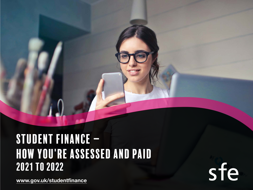## Student finance – how you're assessed and paid 2021 to 2022

[www.gov.uk/studentfinance](http://www.gov.uk/studentfinance)

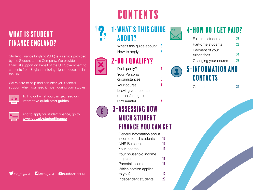### WHAT IS STUDENT Finance England?

Student Finance England (SFE) is a service provided by the Student Loans Company. We provide financial support on behalf of the UK Government to students from England entering higher education in the UK.

We're here to help and can offer you financial support when you need it most, during your studies.

To find out what you can get, read our [interactive quick start guides](http://www.sfengland.slc.co.uk/quickstartguides)



And to apply for student finance, go to [www.gov.uk/studentfinance](http://www.gov.uk/studentfinance)

## **CONTENTS**



### [1- What's this guide](#page-2-0) [about?](#page-2-0)

[What's this guide about?](#page-2-0) 3 [How to apply](#page-2-0)  $\overline{3}$ 

### 2-DO I QUALIFY?

Do I qualify? [Your Personal](#page-5-0)  [circumstances](#page-5-0) **6** Your course [Leaving your course](#page-8-0)  [or transferring to a](#page-8-0)  new course



## [3- Assessing how](#page-9-0)  [much student](#page-9-0) [fInance you can get](#page-9-0)

| General information about |    |
|---------------------------|----|
| income for all students   | 10 |
| <b>NHS Bursaries</b>      | 10 |
| Your income               | 10 |
| Your household income     |    |
| — parents                 | 11 |
| Parental income           | 11 |
| Which section applies     |    |
| to you?                   | 12 |
| Independent students      | 23 |



### 4-HOW DO I GET PAID?

| Full-time students   | 28 |
|----------------------|----|
| Part-time students   | 28 |
| Payment of your      |    |
| tuition fees         | 29 |
| Changing your course | 29 |
|                      |    |



[Contacts](#page-29-0) 30



**SF** /SF England **f** /SFEngland **P** YouTube /SFEFILM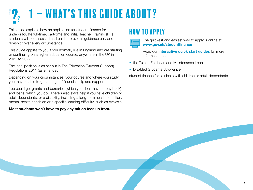# <span id="page-2-0"></span>1 – What's this guide about?

This guide explains how an application for student finance for undergraduate full-time, part-time and Initial Teacher Training (ITT) students will be assessed and paid. It provides guidance only and doesn't cover every circumstance.

This guide applies to you if you normally live in England and are starting or continuing on a higher education course, anywhere in the UK in 2021 to 2022.

The legal position is as set out in The Education (Student Support) Regulations 2011 (as amended).

Depending on your circumstances, your course and where you study, you may be able to get a range of financial help and support.

You could get grants and bursaries (which you don't have to pay back) and loans (which you do). There's also extra help if you have children or adult dependants, or a disability, including a long-term health condition, mental-health condition or a specific learning difficulty, such as dyslexia.

### Most students won't have to pay any tuition fees up front.

### How to apply



The quickest and easiest way to apply is online at [www.gov.uk/studentfinance](http://www.gov.uk/studentfinance)

Read our *interactive quick start quides* for more information on:

- the Tuition Fee Loan and Maintenance Loan
- Disabled Students' Allowance

student finance for students with children or adult dependants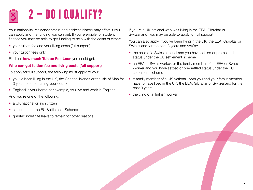## <span id="page-3-0"></span> $2 - DO$  I QUALIFY?

Your nationality, residency status and address history may affect if you can apply and the funding you can get. If you're eligible for student finance you may be able to get funding to help with the costs of either:

- your tuition fee and your living costs (full support)
- your tuition fees only

Find out **[how much Tuition Fee Loan](http://www.gov.uk/student-finance/new-fulltime-students)** you could get.

### Who can get tuition fee and living costs (full support)

To apply for full support, the following must apply to you:

- you've been living in the UK, the Channel Islands or the Isle of Man for 3 years before starting your course
- England is your home, for example, you live and work in England

And you're one of the following:

- a UK national or Irish citizen
- settled under the EU Settlement Scheme
- granted indefinite leave to remain for other reasons

If you're a UK national who was living in the EEA, Gibraltar or Switzerland, you may be able to apply for full support.

You can also apply if you've been living in the UK, the EEA, Gibraltar or Switzerland for the past 3 years and you're:

- the child of a Swiss national and you have settled or pre-settled status under the EU settlement scheme
- an EEA or Swiss worker, or the family member of an EEA or Swiss Worker and you have settled or pre-settled status under the EU settlement scheme
- A family member of a UK National, both you and your family member have to have lived in the UK, the EEA, Gibraltar or Switzerland for the past 3 years

4

• the child of a Turkish worker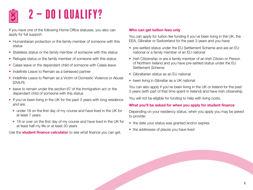## $2 - D01$  QUALIFY?

If you have one of the following Home Office statuses, you also can apply for full support:

- Humanitarian protection or the family member of someone with this status
- Stateless status or the family member of someone with this status
- Refugee status or the family member of someone with this status
- Calais leave or the dependant child of someone with Calais leave
- Indefinite Leave to Remain as a bereaved partner
- Indefinite Leave to Remain as a Victim of Domestic Violence or Abuse (DVILR)
- leave to remain under the section 67 of the Immigration act or the dependant child of someone with this status
- If you've been living in the UK for the past 3 years with long residence and are:
	- under 18 on the first day of my course and have lived in the UK for at least 7 years
	- 18 or over on the first day of my course and have lived in the UK for at least half my life or at least 20 years

Use the **[student finance calculator](https://www.gov.uk/student-finance-calculator)** to see what finance you can get.

### Who can get tuition fees only

You can apply for tuition fee funding if you've been living in the UK, the EEA, Gibraltar or Switzerland for the past 3 years and you have:

- pre-settled status under the EU Settlement Scheme and are an EU national or a family member of an EU national
- Irish Citizenship or are a family member of an Irish Citizen or Person of Northern Ireland and you have pre-settled status under the EU Settlement Scheme
- Gibraltarian status as an EU national
- been living in Gibraltar as a UK national

You can also apply if you've been living in the UK or Ireland for the past 3 years (with part of that time spent in Ireland) and have Irish citizenship.

You will not be eligible for funding to help with living costs.

### What you'll be asked for when you apply for student finance

Depending on your residency status, when you apply you may be asked to provide:

- the date your status was granted and/or expires
- the addresses of places you have lived

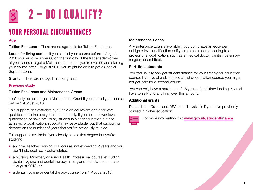<span id="page-5-0"></span>

## $2 - DO I QUALIFY?$

### Your personal circumstances

### Age

**Tuition Fee Loan** – There are no age limits for Tuition Fee Loans.

Loans for living costs – If you started your course before 1 August 2016 you must be under 60 on the first day of the first academic year of your course to get a Maintenance Loan. If you're over 60 and starting your course after 1 August 2016 you might be able to get a Special Support Loan.

Grants – There are no age limits for grants.

### Previous study

### Tuition Fee Loans and Maintenance Grants

You'll only be able to get a Maintenance Grant if you started your course before 1 August 2016.

This support isn't available if you hold an equivalent or higher-level qualification to the one you intend to study. If you hold a lower-level qualification or have previously studied in higher education but not achieved a qualification, support may be available, but that support will depend on the number of years that you've previously studied.

Full support is available if you already have a first degree but you're studying:

- an Initial Teacher Training (ITT) course, not exceeding 2 years and you don't hold qualified teacher status,
- a Nursing, Midwifery or Allied Health Professional course (excluding dental hygiene and dental therapy) in England that starts on or after 1 August 2018, or
- a dental hygiene or dental therapy course from 1 August 2018.

### Maintenance Loans

A Maintenance Loan is available if you don't have an equivalent or higher-level qualification or if you are on a course leading to a professional qualification, such as a medical doctor, dentist, veterinary surgeon or architect.

### Part-time students

You can usually only get student finance for your first higher-education course. If you've already studied a higher-education course, you might not get help for a second course.

You can only have a maximum of 16 years of part-time funding. You will have to self-fund anything over this amount.

### Additional grants

Dependants' Grants and DSA are still available if you have previously studied in higher education.



For more information visit [www.gov.uk/studentfinance](http://www.gov.uk/studentfinance)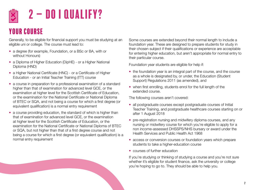<span id="page-6-0"></span>

### Your course

Generally, to be eligible for financial support you must be studying at an eligible uni or college. The course must lead to:

- a degree (for example, Foundation, or a BSc or BA, with or without Honours)
- a Diploma of Higher Education (DipHE) or a Higher National Diploma (HND)
- a Higher National Certificate (HNC) or a Certificate of Higher Education - or an Initial Teacher Training (ITT) course
- a course in preparation for a professional examination of a standard higher than that of examination for advanced level GCE, or the examination at higher level for the Scottish Certificate of Education, or the examination for the National Certificate or National Diploma of BTEC or SQA, and not being a course for which a first degree (or equivalent qualification) is a normal entry requirement
- a course providing education, the standard of which is higher than that of examination for advanced level GCE, or the examination at higher level for the Scottish Certificate of Education, or the examination for the National Certificate or National Diploma of BTEC or SQA, but not higher than that of a first degree course and not being a course for which a first degree (or equivalent qualification) is a normal entry requirement

Some courses are extended beyond their normal length to include a foundation year. These are designed to prepare students for study in their chosen subject if their qualifications or experience are acceptable for entering higher education, but aren't appropriate for normal entry to their particular course.

Foundation year students are eligible for help if:

- the foundation year is an integral part of the course, and the course as a whole is designated by, or under, the Education (Student Support) Regulations 2011 (as amended), and
- when first enrolling, students enrol for the full length of the extended course.

The following courses aren't covered:

- all postgraduate courses except postgraduate courses of Initial Teacher Training, and postgraduate healthcare courses starting on or after 1 August 2018
- pre-registration nursing and midwifery diploma courses, and any nursing or midwifery course for which you're eligible to apply for a non income-assessed DHSSPS/NHS bursary or award under the Health Services and Public Health Act 1968
- access or conversion courses or foundation years which prepare students to take a higher-education course
- courses of further education

If you're studying or thinking of studying a course and you're not sure whether it's eligible for student finance, ask the university or college you're hoping to go to. They should be able to help you.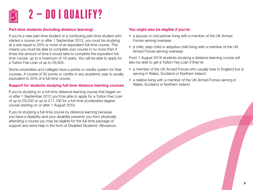

#### Part-time students (including distance learning)

If you're a new part-time student or a continuing part-time student who started a course on or after 1 September 2012, you must be studying at a rate equal to 25% or more of an equivalent full-time course. This means you must be able to complete your course in no more than 4 times the amount of time it would take to complete the equivalent fulltime course, up to a maximum of 16 years. You will be able to apply for a Tuition Fee Loan of up to £6,935.

Some universities and colleges have a points or credits system for their courses. A course of 30 points or credits in any academic year is usually equivalent to 25% of a full-time course.

#### Support for students studying full-time distance learning courses

If you're studying on a full-time distance learning course that began on or after 1 September 2012 you'll be able to apply for a Tuition Fee Loan of up to £9,250 or up to £11,100 for a full-time accelerated degree course starting on or after 1 August 2019.

If you're studying a full-time course by distance learning because you have a disability and your disability prevents you from physically attending a course you may be eligible for the full-time package of support and extra help in the form of Disabled Students' Allowance.

#### You might also be eligible if you're:

- a spouse or civil partner living with a member of the UK Armed Forces serving overseas
- a child, step-child or adoptive child living with a member of the UK Armed Forces serving overseas

From 1 August 2018 students studying a distance learning course will also be able to get a Tuition Fee Loan if they're:

- a member of the UK Armed Forces who usually lives in England but is serving in Wales, Scotland or Northern Ireland
- a relative living with a member of the UK Armed Forces serving in Wales, Scotland or Northern Ireland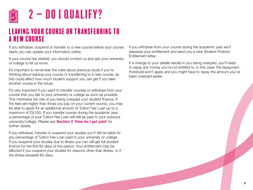<span id="page-8-0"></span>

### Leaving your course or transferring to a new course

If you withdraw, suspend or transfer to a new course before your course starts you can update your information online.

If your course has started, you should contact us and ask your university or college to let us know.

It's important to remember the rules about previous study if you're thinking about leaving your course or transferring to a new course, as this could affect how much student support you can get if you take another course in the future.

It's very important if you want to transfer courses or withdraw from your course that you talk to your university or college as soon as possible. This minimises the risk of you being overpaid your student finance. If the fees are higher than those you pay on your current course, you may be able to apply for an additional amount of Tuition Fee Loan up to a maximum of £9,250. If you transfer course during the academic year a percentage of your Tuition Fee Loan will still be paid to your previous university/college. Please see **[Section 4 'How do I get paid'](#page-27-0)** for further details.

If you withdraw, transfer or suspend your studies you'll still be liable for any percentage of Tuition Fee Loan paid to your university or college. If you suspend your studies due to illness you can still get full student finance for the first 60 days of this period. Your entitlement may be affected if you suspend your studies for reasons other than illness, or if the illness exceeds 60 days.

If you withdraw from your course during the academic year we'll reassess your entitlement and send you a new Student Finance Entitlement letter.

If a change to your details results in you being overpaid, you'll need to repay any money you're not entitled to. In this case, the repayment threshold won't apply and you might have to repay the amount you've been overpaid earlier.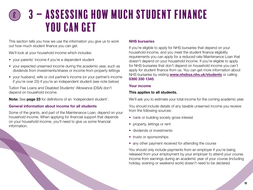<span id="page-9-0"></span>This section tells you how we use the information you give us to work out how much student finance you can get.

We'll look at your household income which includes:

- your parents' income if you're a dependent student
- your expected unearned income during the academic year, such as dividends from investments/shares or income from property lettings
- your husband, wife or civil partner's income (or your partner's income if you're over 25) if you're an independent student (see note below)

Tuition Fee Loans and Disabled Students' Allowance (DSA) don't depend on household income.

Note: See [page 23](#page-22-0) for definitions of an 'independent student'.

#### General information about income for all students

Some of the grants, and part of the Maintenance Loan, depend on your household income. When applying for financial support that depends on your household income, you'll need to give us some financial information.

#### NHS bursaries

If you're eligible to apply for NHS bursaries that depend on your household income, and you meet the student finance eligibility requirements you can apply for a reduced rate Maintenance Loan that doesn't depend on your household income. If you're eligible to apply for NHS bursaries that don't depend on household income you can't apply for student finance from us. You can get more information about NHS bursaries by visiting [www.nhsbsa.nhs.uk/students](http://www.nhsbsa.nhs.uk/students) or calling 0300 330 1345.

#### Your income

### This applies to all students.

We'll ask you to estimate your total income for the coming academic year.

You should include details of any taxable unearned income you receive from the following sources:

- bank or building society gross interest
- property, lettings or rent
- dividends or investments
- trusts or sponsorships
- any other payment received for attending the course

You should only include payments from an employer if you're being released from your employment by your employer to attend your course. Income from earnings during an academic year of your course (including holiday, evening or weekend work) doesn't need to be declared.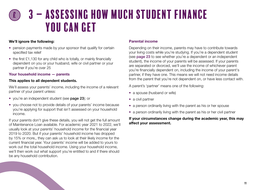#### <span id="page-10-0"></span>We'll ignore the following:

- pension payments made by your sponsor that qualify for certain specified tax relief
- the first £1,130 for any child who is totally, or mainly financially dependent on you or your husband, wife or civil partner or your partner if you're over 25

#### Your household income — parents

#### This applies to all dependent students.

We'll assess your parents' income, including the income of a relevant partner of your parent unless:

- you're an independent student (see [page 23](#page-22-0)); or
- you choose not to provide details of your parents' income because you're applying for support that isn't assessed on your household income.

If your parents don't give these details, you will not get the full amount of Maintenance Loan available. For academic year 2021 to 2022, we'll usually look at your parents' household income for the financial year 2019 to 2020. But if your parents' household income has dropped by 15% or more,, they can ask us to look at their likely income for the current financial year. Your parents' income will be added to yours to work out the total household income. Using your household income, we'll then work out what support you're entitled to and if there should be any household contribution.

#### Parental income

Depending on their income, parents may have to contribute towards your living costs while you're studying. If you're a dependent student (see **[page 23](#page-22-0)** to see whether you're a dependent or an independent student), the income of your parents will be assessed. If your parents are separated or divorced, we'll use the income of whichever parent you're financially dependent on, including the income of your parent's partner, if they have one. This means we will not need income details from the parent that you're not dependent on, or have less contact with.

A parent's 'partner' means one of the following:

- a spouse (husband or wife)
- a civil partner
- a person ordinarily living with the parent as his or her spouse
- a person ordinarily living with the parent as his or her civil partner

#### If your circumstances change during the academic year, this may affect your assessment.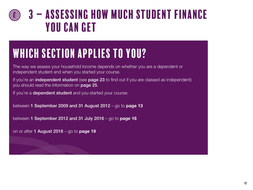## <span id="page-11-0"></span>Which section applies to you?

The way we assess your household income depends on whether you are a dependent or independent student and when you started your course.

If you're an *independent student* (see [page 23](#page-22-0) to find out if you are classed as independent) you should read the information on **[page 25](#page-24-0)**.

If you're a dependent student and you started your course:

between 1 September 2009 and 31 August 2012 – go to [page 13](#page-12-0)

between 1 September 2012 and 31 July 2016 – go to [page 16](#page-15-0)

on or after 1 August  $2016 -$  go to [page 19](#page-18-0)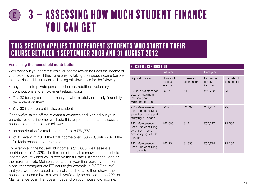### <span id="page-12-0"></span>3 – Assessing how much student Finance you can get £

### This section applies to dependent students who started their course between 1 September 2009 and 31 August 2012

#### Assessing the household contribution

We'll work out your parents' residual income (which includes the income of your parent's partner, if they have one) by taking their gross income (before tax and National Insurance) and taking off allowances for the following:

- payments into private pension schemes, additional voluntary contributions and employment related costs
- £1,130 for any child other than you who is totally or mainly financially dependent on them
- £1,130 if your parent is also a student

Once we've taken off the relevant allowances and worked out your parents' residual income, we'll add this to your income and assess a household contribution as follows:

- no contribution for total income of up to £50,778
- £1 for every £4.10 of the total income over £50,778, until 72% of the full Maintenance Loan remains

For example, if the household income is £55,000, we'll assess a contribution of £1,029. The first line of the table shows the household income level at which you'd receive the full-rate Maintenance Loan or the maximum-rate Maintenance Loan in your final year. If you're on a one-year postgraduate ITT course (for example, a PGCE course), that year won't be treated as a final year. The table then shows the household income levels at which you'd only be entitled to the 72% of Maintenance Loan that doesn't depend on your household income.

| <b>HOUSEHOLD CONTRIBUTION</b>                                                                |                                 |                           |                                 |                           |
|----------------------------------------------------------------------------------------------|---------------------------------|---------------------------|---------------------------------|---------------------------|
|                                                                                              | Full year                       |                           | Final year                      |                           |
| Support covered                                                                              | Household<br>residual<br>income | Household<br>contribution | Household<br>residual<br>income | Household<br>contribution |
| <b>Full-rate Maintenance</b><br>Loan or maximum-<br>rate final year<br>Maintenance Loan      | £50,778                         | Nil                       | £50,778                         | Nil                       |
| 72% Maintenance<br>Loan - student living<br>away from home and<br>studying in London         | £60,614                         | £2,399                    | £59,737                         | £2,185                    |
| 72% Maintenance<br>Loan – student living<br>away from home<br>and studying outside<br>London | £57,806                         | £1,714                    | £57,277                         | £1,585                    |
| 72% Maintenance<br>Loan - student living<br>with parents                                     | £56,231                         | £1,330                    | £55,719                         | £1,205                    |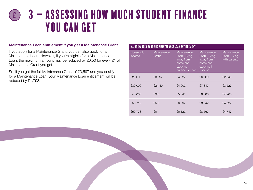#### Maintenance Loan entitlement if you get a Maintenance Grant

If you apply for a Maintenance Grant, you can also apply for a Maintenance Loan. However, if you're eligible for a Maintenance Loan, the maximum amount may be reduced by £0.50 for every £1 of Maintenance Grant you get.

So, if you get the full Maintenance Grant of £3,597 and you qualify for a Maintenance Loan, your Maintenance Loan entitlement will be reduced by £1,798.

| <b>MAINTENANCE GRANT AND MAINTENANCE LOAN ENTITLEMENT</b> |                      |                                                                                       |                                                                                  |                                                |
|-----------------------------------------------------------|----------------------|---------------------------------------------------------------------------------------|----------------------------------------------------------------------------------|------------------------------------------------|
| Household<br>income                                       | Maintenance<br>Grant | Maintenance<br>$Loan - living$<br>away from<br>home and<br>studying<br>outside London | Maintenance<br>$Loan - living$<br>away from<br>home and<br>studying in<br>London | Maintenance<br>$Loan - living$<br>with parents |
| £25,000                                                   | £3,597               | £4,322                                                                                | £6,769                                                                           | £2,949                                         |
| £30,000                                                   | £2,440               | £4,902                                                                                | £7,347                                                                           | £3,527                                         |
| £40,000                                                   | £963                 | £5,641                                                                                | £8,086                                                                           | £4,266                                         |
| £50,719                                                   | £50                  | £6,097                                                                                | £8,542                                                                           | £4,722                                         |
| £50,778                                                   | £0                   | £6,122                                                                                | £8,567                                                                           | £4,747                                         |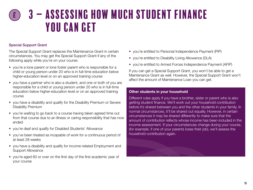### Special Support Grant

The Special Support Grant replaces the Maintenance Grant in certain circumstances. You may get the Special Support Grant if any of the following apply while you're on your course:

- you're a lone parent or lone foster parent who is responsible for a child or young person under 20 who is in full-time education below higher-education level or on an approved training course
- you have a partner who is also a student, and one or both of you are responsible for a child or young person under 20 who is in full-time education below higher-education level or on an approved training course
- you have a disability and qualify for the Disability Premium or Severe Disability Premium
- you're waiting to go back to a course having taken agreed time out from that course due to an illness or caring responsibility that has now ended
- you're deaf and qualify for Disabled Students' Allowance
- you've been treated as incapable of work for a continuous period of at least 28 weeks
- you have a disability and qualify for income-related Employment and Support Allowance
- you're aged 60 or over on the first day of the first academic year of your course
- you're entitled to Personal Independence Payment (PIP)
- you're entitled to Disability Living Allowance (DLA)
- you're entitled to Armed Forces Independence Payment (AFIP)

If you can get a Special Support Grant, you won't be able to get a Maintenance Grant as well. However, the Special Support Grant won't affect the amount of Maintenance Loan you can get.

#### Other students in your household

Different rules apply if you have a brother, sister or parent who is also getting student finance. We'll work out your household contribution before it's shared between you and the other students in your family. In normal circumstances, it'll be shared out equally. However, in certain circumstances it may be shared differently to make sure that the amount of contribution reflects whose income has been included in the income assessment. If your circumstances change during your course, (for example, if one of your parents loses their job), we'll assess the household contribution again.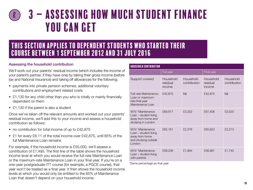### <span id="page-15-0"></span>This section applies to dependent students who started their course between 1 September 2012 and 31 July 2016

#### Assessing the household contribution

We'll work out your parents' residual income (which includes the income of your parent's partner, if they have one) by taking their gross income (before tax and National Insurance) and taking off allowances for the following:

- payments into private pension schemes, additional voluntary contributions and employment related costs
- £1,130 for any child other than you who is totally or mainly financially dependent on them
- £1,130 if the parent is also a student

Once we've taken off the relevant amounts and worked out your parents' residual income, we'll add this to your income and assess a household contribution as follows:

- no contribution for total income of up to £42,875
- £1 for every £8.11 of the total income over £42,875, until 65% of the full Maintenance Loan remains

For example, if the household income is £55,000, we'll assess a contribution of £1,495. The first line of the table shows the household income level at which you would receive the full-rate Maintenance Loan or the maximum-rate Maintenance Loan in your final year. If you're on a one-year postgraduate ITT course (for example, a PGCE course), that year won't be treated as a final year. It then shows the household income levels at which you would only be entitled to the 65% of Maintenance Loan that doesn't depend on your household income.

| <b>HOUSEHOLD CONTRIBUTION</b>                                                                 |                                 |                           |                                 |                           |
|-----------------------------------------------------------------------------------------------|---------------------------------|---------------------------|---------------------------------|---------------------------|
|                                                                                               | Full year                       |                           | Final year                      |                           |
| Support covered                                                                               | Household<br>residual<br>income | Household<br>contribution | Household<br>residual<br>income | Household<br>contribution |
| <b>Full-rate Maintenance</b><br>Loan or maximum-<br>rate final year<br>Maintenance Loan       | £42,875                         | Nil                       | £42,875                         | Nil                       |
| 65%* Maintenance<br>Loan - student living<br>away from home and<br>studying in London         | £69,817                         | £3,322                    | £67,408                         | £3,025                    |
| 65%* Maintenance<br>Loan – student living<br>away from home<br>and studying outside<br>London | £62,161                         | £2,378                    | £60,823                         | £2,213                    |
| 65%* Maintenance<br>Loan – student living<br>with parents                                     | £58,236                         | £1,894                    | £56,987                         | £1,740                    |

\*Same percentage as final year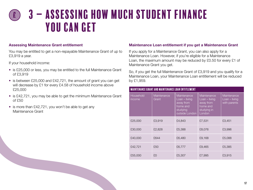#### Assessing Maintenance Grant entitlement

You may be entitled to get a non-repayable Maintenance Grant of up to £3,919 a year.

If your household income:

- is £25,000 or less, you may be entitled to the full Maintenance Grant of £3,919
- is between £25,000 and £42,721, the amount of grant you can get will decrease by £1 for every £4.58 of household income above £25,000
- is £42,721, you may be able to get the minimum Maintenance Grant of £50
- is more than £42,721, you won't be able to get any Maintenance Grant

#### Maintenance Loan entitlement if you get a Maintenance Grant

If you apply for a Maintenance Grant, you can also apply for a Maintenance Loan. However, if you're eligible for a Maintenance Loan, the maximum amount may be reduced by £0.50 for every £1 of Maintenance Grant you get.

So, if you get the full Maintenance Grant of £3,919 and you qualify for a Maintenance Loan, your Maintenance Loan entitlement will be reduced by £1,959.

|                     | <b>MAINTENANCE GRANT AND MAINTENANCE LOAN ENTITLEMENT</b> |                                                                                       |                                                                                |                                              |  |
|---------------------|-----------------------------------------------------------|---------------------------------------------------------------------------------------|--------------------------------------------------------------------------------|----------------------------------------------|--|
| Household<br>income | Maintenance<br>Grant                                      | Maintenance<br>$Loan - living$<br>away from<br>home and<br>studying<br>outside London | Maintenance<br>Loan – living<br>away from<br>home and<br>studying in<br>London | Maintenance<br>Loan – living<br>with parents |  |
| £25,000             | £3,919                                                    | £4,843                                                                                | £7,531                                                                         | £3,451                                       |  |
| £30,000             | £2,828                                                    | £5,388                                                                                | £8,076                                                                         | £3,996                                       |  |
| £40,000             | £644                                                      | £6,480                                                                                | £9,168                                                                         | £5,088                                       |  |
| £42,721             | £50                                                       | £6,777                                                                                | £9,465                                                                         | £5,385                                       |  |
| £55,000             | £0                                                        | £5,307                                                                                | £7,995                                                                         | £3,915                                       |  |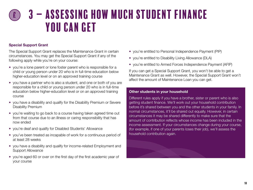### Special Support Grant

The Special Support Grant replaces the Maintenance Grant in certain circumstances. You may get the Special Support Grant if any of the following apply while you're on your course:

- you're a lone parent or lone foster parent who is responsible for a child or young person under 20 who is in full-time education below higher-education level or on an approved training course
- you have a partner who is also a student, and one or both of you are responsible for a child or young person under 20 who is in full-time education below higher-education level or on an approved training course
- you have a disability and qualify for the Disability Premium or Severe Disability Premium
- you're waiting to go back to a course having taken agreed time out from that course due to an illness or caring responsibility that has now ended
- you're deaf and qualify for Disabled Students' Allowance
- you've been treated as incapable of work for a continuous period of at least 28 weeks
- you have a disability and qualify for income-related Employment and Support Allowance
- you're aged 60 or over on the first day of the first academic year of your course
- you're entitled to Personal Independence Payment (PIP)
- you're entitled to Disability Living Allowance (DLA)
- you're entitled to Armed Forces Independence Payment (AFIP)

If you can get a Special Support Grant, you won't be able to get a Maintenance Grant as well. However, the Special Support Grant won't affect the amount of Maintenance Loan you can get.

#### Other students in your household

Different rules apply if you have a brother, sister or parent who is also getting student finance. We'll work out your household contribution before it's shared between you and the other students in your family. In normal circumstances, it'll be shared out equally. However, in certain circumstances it may be shared differently to make sure that the amount of contribution reflects whose income has been included in the income assessment. If your circumstances change during your course, (for example, if one of your parents loses their job), we'll assess the household contribution again.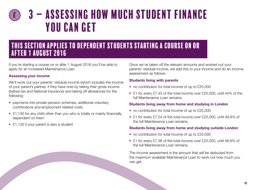### <span id="page-18-0"></span>This section applies to dependent students starting a course on or after 1 August 2016

If you're starting a course on or after 1 August 2016 you'll be able to apply for an increased Maintenance Loan.

#### Assessing your income

We'll work out your parents' residual income (which includes the income of your parent's partner, if they have one) by taking their gross income (before tax and National Insurance) and taking off allowances for the following:

- payments into private pension schemes, additional voluntary contributions and employment related costs
- £1,130 for any child other than you who is totally or mainly financially dependent on them
- £1,130 if your parent is also a student

Once we've taken off the relevant amounts and worked out your parents' residual income, we add this to your income and do an income assessment as follows:

### Students living with parents

- no contribution for total income of up to £25,000
- £1 for every £7.43 of the total income over £25,000, until 44% of the full Maintenance Loan remains.

### Students living away from home and studying in London

- no contribution for total income of up to £25,000
- £1 for every £7.24 of the total income over £25,000, until 49.8% of the full Maintenance Loan remains.

### Students living away from home and studying outside London

- no contribution for total income of up to £25,000
- £1 for every £7.36 of the total income over £25,000, until 46.6% of the full Maintenance Loan remains.

The income assessment is the amount that will be deducted from the maximum available Maintenance Loan to work out how much you can get.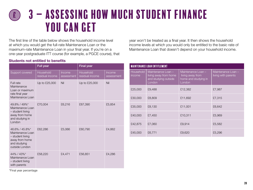The first line of the table below shows the household income level at which you would get the full-rate Maintenance Loan or the maximum-rate Maintenance Loan in your final year. If you're on a one-year postgraduate ITT course (for example, a PGCE course), that

#### Students not entitled to benefits

|                                                                                                            | <b>Full year</b>             |                      | <b>Final year</b>            |                      |
|------------------------------------------------------------------------------------------------------------|------------------------------|----------------------|------------------------------|----------------------|
| Support covered                                                                                            | Household<br>residual income | Income<br>assessment | Household<br>residual income | Income<br>assessment |
| Full rate<br>Maintenance<br>Loan or maximum<br>rate final year<br>Maintenance Loan                         | Up to £25,000                | Nil                  | Up to £25,000                | Nil                  |
| 49.8% / 49%*<br>Maintenance Loan<br>- student living<br>away from home<br>and studying in<br>London        | £70,004                      | £6,216               | £67,390                      | £5,854               |
| 46.6% / 45.8%*<br>Maintenance Loan<br>- student living<br>away from home<br>and studying<br>outside London | £62,286                      | £5,066               | £60,790                      | £4,862               |
| 44% / 43%*<br>Maintenance Loan<br>- student living<br>with parents                                         | £58,220                      | £4,471               | £56,851                      | £4,286               |

year won't be treated as a final year. It then shows the household income levels at which you would only be entitled to the basic rate of Maintenance Loan that doesn't depend on your household income.

|                            | <b>MAINTENANCE LOAN ENTITLEMENT</b>                                           |                                                                          |                                           |  |
|----------------------------|-------------------------------------------------------------------------------|--------------------------------------------------------------------------|-------------------------------------------|--|
| <b>Household</b><br>income | Maintenance Loan -<br>living away from home<br>and studying outside<br>London | Maintenance Loan -<br>living away from<br>home and studying in<br>London | Maintenance Loan -<br>living with parents |  |
| £25,000                    | £9,488                                                                        | £12,382                                                                  | £7,987                                    |  |
| £30,000                    | £8,809                                                                        | £11,692                                                                  | £7,315                                    |  |
| £35,000                    | £8,130                                                                        | £11,001                                                                  | £6,642                                    |  |
| £40,000                    | £7,450                                                                        | £10,311                                                                  | £5,969                                    |  |
| £42,875                    | £7,060                                                                        | £9,914                                                                   | £5,582                                    |  |
| £45,000                    | £6,771                                                                        | £9,620                                                                   | £5,296                                    |  |

\*Final year percentage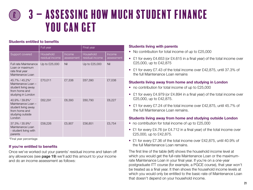### Students entitled to benefits

|                                                                                                            | Full year                    |                      | <b>Final</b> year            |                      |
|------------------------------------------------------------------------------------------------------------|------------------------------|----------------------|------------------------------|----------------------|
| Support covered                                                                                            | Household<br>residual income | Income<br>assessment | Household<br>residual income | Income<br>assessment |
| <b>Full rate Maintenance</b><br>Loan or maximum<br>rate final year<br>Maintenance Loan                     | Up to £25,000                | Nil                  | Up to £25,000                | Nil                  |
| 45.7% / 45.2%*<br>Maintenance Loan -<br>student living away<br>from home and<br>studying in London         | £70,011                      | £7,338               | £67,390                      | £7,038               |
| 40.9% / 39.8%*<br>Maintenance Loan -<br>student living away<br>from home and<br>studying outside<br>London | £62,291                      | £6,393               | £60,790                      | £6,227               |
| 37.3% / 35.9%*<br>Maintenance Loan<br>- student living with<br>parents                                     | £58,226                      | £5,907               | £56,851                      | £5,754               |

\*Final year percentage

### If you're entitled to benefits

Once we've worked out your parents' residual income and taken off any allowances (see [page 19](#page-18-0)) we'll add this amount to your income and do an income assessment as follows:

### Students living with parents

- No contribution for total income of up to £25,000
- £1 for every £4.653 (or £4.615 in a final year) of the total income over £25,000, up to £42,875
- £1 for every £7.43 of the total income over £42,875, until 37.3% of the full Maintenance Loan remains

### Students living away from home and studying in London

- no contribution for total income of up to £25,000
- £1 for every £4.979 (or £4.894 in a final year) of the total income over £25,000, up to £42,875.
- £1 for every £7.24 of the total income over £42,875, until 45.7% of the full Maintenance Loan remains.

### Students living away from home and studying outside London

- no contribution for total income of up to £25,000
- £1 for every £4.76 (or £4.712 in a final year) of the total income over £25,000, up to £42,875.
- £1 for every £7.36 of the total income over £42,875, until 40.9% of the full Maintenance Loan remains.

The first line of the table (left) shows the household income level at which you would get the full-rate Maintenance Loan or the maximumrate Maintenance Loan in your final year. If you're on a one-year postgraduate ITT course (for example, a PGCE course), that year won't be treated as a final year. It then shows the household income levels at which you would only be entitled to the basic rate of Maintenance Loan that doesn't depend on your household income.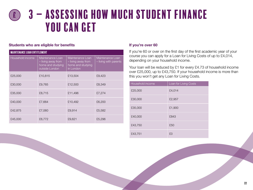#### Students who are eligible for benefits

| <b>MAINTENANCE LOAN ENTITLEMENT</b> |                                                                               |                                                                          |                                           |  |
|-------------------------------------|-------------------------------------------------------------------------------|--------------------------------------------------------------------------|-------------------------------------------|--|
| Household income                    | Maintenance Loan<br>- living away from<br>home and studying<br>outside London | Maintenance Loan<br>- living away from<br>home and studying<br>in London | Maintenance Loan<br>- living with parents |  |
| £25,000                             | £10,815                                                                       | £13,504                                                                  | £9,423                                    |  |
| £30,000                             | £9,765                                                                        | £12,500                                                                  | £8,349                                    |  |
| £35,000                             | £8,715                                                                        | £11,496                                                                  | £7,274                                    |  |
| £40,000                             | £7,664                                                                        | £10,492                                                                  | £6,200                                    |  |
| £42,875                             | £7,060                                                                        | £9,914                                                                   | £5,582                                    |  |
| £45,000                             | £6,772                                                                        | £9,621                                                                   | £5,296                                    |  |

#### If you're over 60

If you're 60 or over on the first day of the first academic year of your course you can apply for a Loan for Living Costs of up to £4,014, depending on your household income.

Your loan will be reduced by £1 for every £4.73 of household income over £25,000, up to £43,750. If your household income is more than this you won't get any Loan for Living Costs.

| Household income | Loan for Living Costs |
|------------------|-----------------------|
| £25,000          | £4,014                |
| £30,000          | £2,957                |
| £35,000          | £1,900                |
| £40,000          | £843                  |
| £43,750          | £50                   |
| £43,751          | £0                    |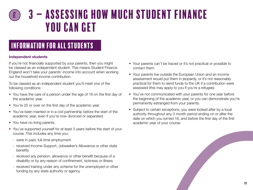### <span id="page-22-0"></span>Information for all students

#### Independent students

If you're not financially supported by your parents, then you might be classed as an independent student. This means Student Finance England won't take your parents' income into account when working out the household income contribution.

To be classed as an independent student you'll meet one of the following conditions:

- You have the care of a person under the age of 18 on the first day of the academic year.
- You're 25 or over on the first day of the academic year.
- You've been married or in a civil partnership before the start of the academic year, even if you're now divorced or separated.
- You have no living parents.
- You've supported yourself for at least 3 years before the start of your course. This includes any time you:
	- were in paid, full-time employment
	- received Income Support, Jobseeker's Allowance or other state benefits
	- received any pension, allowance or other benefit because of a disability or by any reason of confinement, sickness or illness
	- received training under any scheme for the unemployed or other funding by any state authority or agency
- Your parents can't be traced or it's not practical or possible to contact them.
- Your parents live outside the European Union and an income assessment would put them in jeopardy, or it's not reasonably practical for them to send funds to the UK if a contribution were assessed (this may apply to you if you're a refugee).
- You've not communicated with your parents for one year before the beginning of the academic year, or you can demonstrate you're permanently estranged from your parents.
- Subject to certain exceptions, you were looked after by a local authority throughout any 3 month period ending on or after the date on which you turned 16, and before the first day of the first academic year of your course.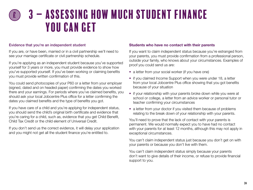#### Evidence that you're an independent student

If you are, or have been, married or in a civil partnership we'll need to see your marriage certificate or civil partnership schedule.

If you're applying as an independent student because you've supported yourself for 3 years or more, you must provide evidence to show how you've supported yourself. If you've been working or claiming benefits you must provide written confirmation of this.

You could send photocopies of your P60 or a letter from your employer (signed, dated and on headed paper) confirming the dates you worked there and your earnings. For periods where you've claimed benefits, you should ask your local Jobcentre Plus office for a letter confirming the dates you claimed benefits and the type of benefits you got.

If you have care of a child and you're applying for independent status, you should send the child's original birth certificate and evidence that you're caring for a child, such as, evidence that you get Child Benefit, Child Tax Credit or the child element of Universal Credit.

If you don't send us the correct evidence, it will delay your application and you might not get all the student finance you're entitled to.

#### Students who have no contact with their parents

If you want to claim independent status because you're estranged from your parents, you must provide confirmation from a professional person, outside your family, who knows about your circumstances. Examples of proof you could send us are:

- a letter from your social worker (if you have one)
- if you claimed Income Support when you were under 18, a letter from your local Jobcentre Plus office showing that you got benefits because of your situation
- if your relationship with your parents broke down while you were at school or college, a letter from an advice worker or personal tutor or teacher confirming your circumstances
- a letter from your doctor if you visited them because of problems relating to the break down of your relationship with your parents.

You'll need to prove that the lack of contact with your parents is permanent. We would normally expect you to have had no contact with your parents for at least 12 months, although this may not apply in exceptional circumstances.

You can't claim independent status just because you don't get on with your parents or because you don't live with them.

You can't claim independent status simply because your parents don't want to give details of their income, or refuse to provide financial support to you.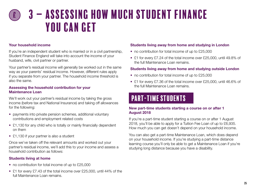#### <span id="page-24-0"></span>Your household income

If you're an independent student who is married or in a civil partnership, Student Finance England will take into account the income of your husband, wife, civil partner or partner.

Your partner's residual income will generally be worked out in the same way as your parents' residual income. However, different rules apply if you separate from your partner. The household income threshold is also the same.

#### Assessing the household contribution for your Maintenance Loan

income (before tax and National Insurance) and taking off allowances We'll work out your partner's residual income by taking the gross for the following:

- payments into private pension schemes, additional voluntary contributions and employment related costs
- £1,130 for any child who is totally or mainly financially dependent on them
- £1,130 if your partner is also a student

Once we've taken off the relevant amounts and worked out your partner's residual income, we'll add this to your income and assess a household contribution as follows:

### Students living at home

- no contribution for total income of up to £25,000
- £1 for every £7.43 of the total income over £25,000, until 44% of the full Maintenance Loan remains.

#### Students living away from home and studying in London

- no contribution for total income of up to £25,000
- £1 for every £7.24 of the total income over £25,000, until 49.8% of the full Maintenance Loan remains.

#### Students living away from home and studying outside London

- no contribution for total income of up to £25,000
- £1 for every £7.36 of the total income over £25,000, until 46.6% of the full Maintenance Loan remains.

### Part-time students

#### New part-time students starting a course on or after 1 August 2018

If you're a part-time student starting a course on or after 1 August 2018, you'll be able to apply for a Tuition Fee Loan of up to £6,935. How much you can get doesn't depend on your household income.

You can also get a part-time Maintenance Loan, which does depend on your household income. If you're studying a part-time distance learning course you'll only be able to get a Maintenance Loan if you're studying long distance because you have a disability.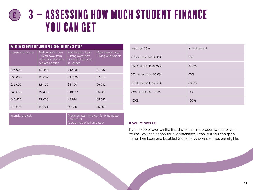| <b>MAINTENANCE LOAN ENTITLEMENT FOR 100% INTENSITY OF STUDY</b> |                                                                               |                                                                          |                                           |  |
|-----------------------------------------------------------------|-------------------------------------------------------------------------------|--------------------------------------------------------------------------|-------------------------------------------|--|
| Household income                                                | Maintenance Loan<br>- living away from<br>home and studying<br>outside London | Maintenance Loan<br>- living away from<br>home and studying<br>in London | Maintenance Loan<br>- living with parents |  |
| £25,000                                                         | £9,488                                                                        | £12,382                                                                  | £7,987                                    |  |
| £30,000                                                         | £8,809                                                                        | £11,692                                                                  | £7,315                                    |  |
| £35,000                                                         | £8,130                                                                        | £11,001                                                                  | £6,642                                    |  |
| £40,000                                                         | £7,450                                                                        | £10,311                                                                  | £5,969                                    |  |
| £42,875                                                         | £7,060                                                                        | £9,914                                                                   | £5,582                                    |  |
| £45,000                                                         | £6,771                                                                        | £9,620                                                                   | £5,296                                    |  |

| Intensity of study | Maximum part-time loan for living costs |
|--------------------|-----------------------------------------|
|                    | entitlement                             |
|                    | (percentage of full-time rate)          |

| Less than 25%          | No entitlement |
|------------------------|----------------|
| 25% to less than 33.3% | 25%            |
| 33.3% to less than 50% | 33.3%          |
| 50% to less than 66.6% | 50%            |
| 66.6% to less than 75% | 66.6%          |
| 75% to less than 100%  | 75%            |
| 100%                   | 100%           |

#### If you're over 60

If you're 60 or over on the first day of the first academic year of your course, you can't apply for a Maintenance Loan, but you can get a Tuition Fee Loan and Disabled Students' Allowance if you are eligible.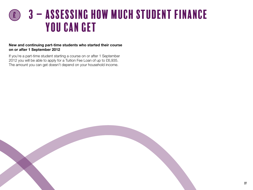#### New and continuing part-time students who started their course on or after 1 September 2012

If you're a part-time student starting a course on or after 1 September 2012 you will be able to apply for a Tuition Fee Loan of up to £6,935. The amount you can get doesn't depend on your household income.

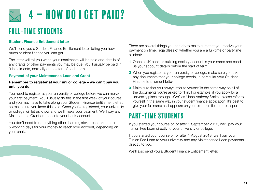<span id="page-27-0"></span>

### Full-time students

### Student Finance Entitlement letter

We'll send you a Student Finance Entitlement letter telling you how much student finance you can get.

The letter will tell you when your instalments will be paid and details of any grants or other payments you may be due. You'll usually be paid in 3 instalments, normally at the start of each term.

### Payment of your Maintenance Loan and Grant

#### Remember to register at your uni or college – we can't pay you until you do!

You need to register at your university or college before we can make your first payment. You'll usually do this in the first week of your course and you may have to take along your Student Finance Entitlement letter, so make sure you keep this safe. Once you've registered, your university or college will let us know and we'll make your payment. We'll pay any Maintenance Grant or Loan into your bank account.

You don't need to do anything other than register. It can take up to 5 working days for your money to reach your account, depending on your bank.

There are several things you can do to make sure that you receive your payment on time, regardless of whether you are a full-time or part-time student:

- 1 Open a UK bank or building society account in your name and send us your account details before the start of term.
- 2 When you register at your university or college, make sure you take any documents that your college needs, in particular your Student Finance Entitlement letter.
- **3** Make sure that you always refer to yourself in the same way on all of the documents you're asked to fill in. For example, if you apply for a university place through UCAS as 'John Anthony Smith', please refer to yourself in the same way in your student finance application. It's best to give your full name as it appears on your birth certificate or passport.

### Part-time students

If you started your course on or after 1 September 2012, we'll pay your Tuition Fee Loan directly to your university or college.

If you started your course on or after 1 August 2018, we'll pay your Tuition Fee Loan to your university and any Maintenance Loan payments directly to you.

We'll also send you a Student Finance Entitlement letter.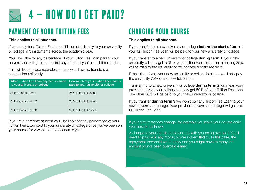<span id="page-28-0"></span>

### Payment of your tuition fees

### This applies to all students.

If you apply for a Tuition Fee Loan, it'll be paid directly to your university or college in 3 instalments across the academic year.

You'll be liable for any percentage of your Tuition Fee Loan paid to your university or college from the first day of term if you're a full-time student.

This will be the case regardless of any withdrawals, transfers or suspensions of study.

| When Tuition Fee Loan payment is made<br>to your university or college | How much of your Tuition Fee Loan is<br>paid to your university or college |
|------------------------------------------------------------------------|----------------------------------------------------------------------------|
| At the start of term 1                                                 | 25% of the tuition fee                                                     |
| At the start of term 2                                                 | 25% of the tuition fee                                                     |
| At the start of term 3                                                 | 50% of the tuition fee                                                     |

If you're a part-time student you'll be liable for any percentage of your Tuition Fee Loan paid to your university or college once you've been on your course for 2 weeks of the academic year.

### Changing your course

### This applies to all students.

If you transfer to a new university or college before the start of term 1 your full Tuition Fee Loan will be paid to your new university or college.

If you transfer to a new university or college **during term 1**, your new university will only get 75% of your Tuition Fee Loan. The remaining 25% will be paid to the university or college you transferred from.

If the tuition fee at your new university or college is higher we'll only pay the university 75% of the new tuition fee.

Transferring to a new university or college **during term 2** will mean your previous university or college can only get 50% of your Tuition Fee Loan. The other 50% will be paid to your new university or college.

If you transfer **during term 3** we won't pay any Tuition Fee Loan to your new university or college. Your previous university or college will get the full Tuition Fee Loan.

If your circumstances change, for example you leave your course early you must let us know.

A change to your details could end up with you being overpaid. You'll need to pay back any money you're not entitled to. In this case, the repayment threshold won't apply and you might have to repay the amount you've been overpaid earlier.